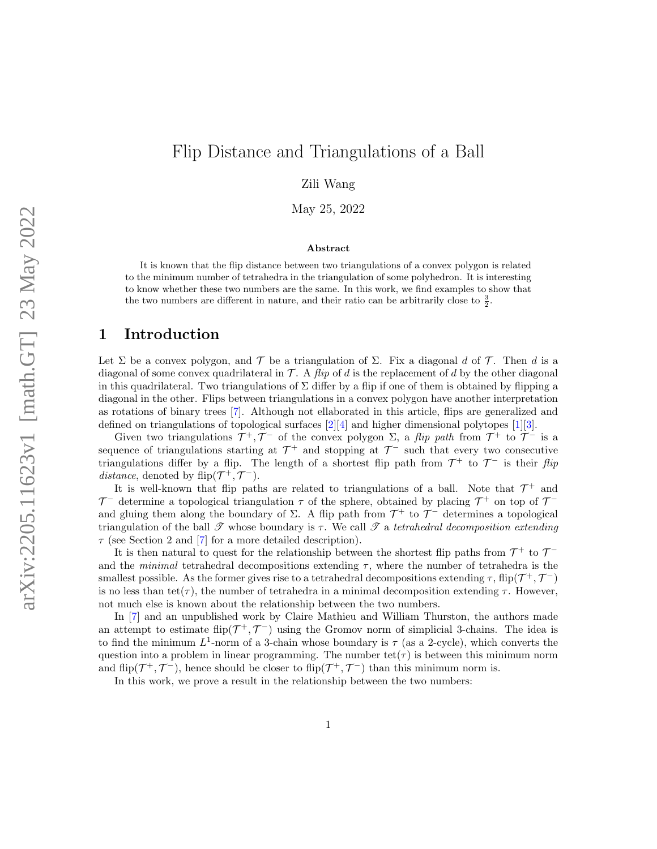# Flip Distance and Triangulations of a Ball

Zili Wang

May 25, 2022

#### Abstract

It is known that the flip distance between two triangulations of a convex polygon is related to the minimum number of tetrahedra in the triangulation of some polyhedron. It is interesting to know whether these two numbers are the same. In this work, we find examples to show that the two numbers are different in nature, and their ratio can be arbitrarily close to  $\frac{3}{2}$ .

#### 1 Introduction

Let  $\Sigma$  be a convex polygon, and  $\mathcal T$  be a triangulation of  $\Sigma$ . Fix a diagonal d of  $\mathcal T$ . Then d is a diagonal of some convex quadrilateral in  $\mathcal{T}$ . A *flip* of d is the replacement of d by the other diagonal in this quadrilateral. Two triangulations of  $\Sigma$  differ by a flip if one of them is obtained by flipping a diagonal in the other. Flips between triangulations in a convex polygon have another interpretation as rotations of binary trees [\[7\]](#page-7-0). Although not ellaborated in this article, flips are generalized and defined on triangulations of topological surfaces  $[2][4]$  $[2][4]$  and higher dimensional polytopes  $[1][3]$  $[1][3]$ .

Given two triangulations  $\mathcal{T}^+, \mathcal{T}^-$  of the convex polygon  $\Sigma$ , a *flip path* from  $\mathcal{T}^+$  to  $\mathcal{T}^-$  is a sequence of triangulations starting at  $\mathcal{T}^+$  and stopping at  $\mathcal{T}^-$  such that every two consecutive triangulations differ by a flip. The length of a shortest flip path from  $\mathcal{T}^+$  to  $\mathcal{T}^-$  is their flip distance, denoted by flip $(\mathcal{T}^+, \mathcal{T}^-)$ .

It is well-known that flip paths are related to triangulations of a ball. Note that  $\mathcal{T}^+$  and  $\mathcal{T}^-$  determine a topological triangulation  $\tau$  of the sphere, obtained by placing  $\mathcal{T}^+$  on top of  $\mathcal{T}^$ and gluing them along the boundary of  $\Sigma$ . A flip path from  $\mathcal{T}^+$  to  $\mathcal{T}^-$  determines a topological triangulation of the ball  $\mathscr T$  whose boundary is  $\tau$ . We call  $\mathscr T$  a tetrahedral decomposition extending  $\tau$  (see Section 2 and [\[7\]](#page-7-0) for a more detailed description).

It is then natural to quest for the relationship between the shortest flip paths from  $\mathcal{T}^+$  to  $\mathcal{T}^$ and the minimal tetrahedral decompositions extending  $\tau$ , where the number of tetrahedra is the smallest possible. As the former gives rise to a tetrahedral decompositions extending  $\tau$ , flip( $\mathcal{T}^+$ ,  $\mathcal{T}^-$ ) is no less than tet( $\tau$ ), the number of tetrahedra in a minimal decomposition extending  $\tau$ . However, not much else is known about the relationship between the two numbers.

In [\[7\]](#page-7-0) and an unpublished work by Claire Mathieu and William Thurston, the authors made an attempt to estimate flip $(\mathcal{T}^+, \mathcal{T}^-)$  using the Gromov norm of simplicial 3-chains. The idea is to find the minimum  $L^1$ -norm of a 3-chain whose boundary is  $\tau$  (as a 2-cycle), which converts the question into a problem in linear programming. The number  $\text{tet}(\tau)$  is between this minimum norm and flip( $\mathcal{T}^+$ ,  $\mathcal{T}^-$ ), hence should be closer to flip( $\mathcal{T}^+$ ,  $\mathcal{T}^-$ ) than this minimum norm is.

In this work, we prove a result in the relationship between the two numbers: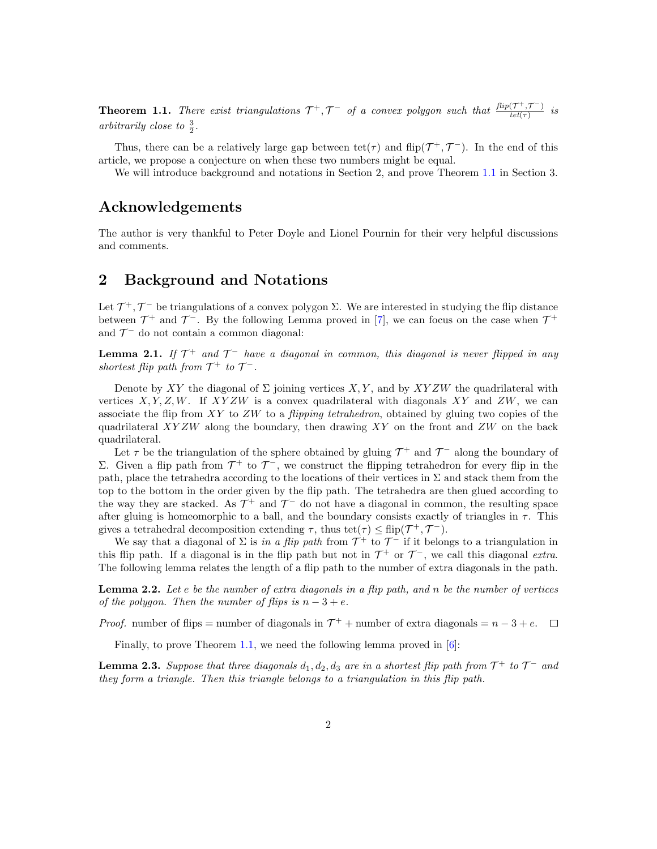<span id="page-1-0"></span>**Theorem 1.1.** There exist triangulations  $\mathcal{T}^+$ ,  $\mathcal{T}^-$  of a convex polygon such that  $\frac{flip(\mathcal{T}^+,\mathcal{T}^-)}{tel(\mathcal{T})}$  $\frac{(1, 1)}{tet(\tau)}$  is arbitrarily close to  $\frac{3}{2}$ .

Thus, there can be a relatively large gap between  $\text{tet}(\tau)$  and  $\text{flip}(\mathcal{T}^+, \mathcal{T}^-)$ . In the end of this article, we propose a conjecture on when these two numbers might be equal.

We will introduce background and notations in Section 2, and prove Theorem [1.1](#page-1-0) in Section 3.

#### Acknowledgements

The author is very thankful to Peter Doyle and Lionel Pournin for their very helpful discussions and comments.

### 2 Background and Notations

Let  $\mathcal{T}^+$ ,  $\mathcal{T}^-$  be triangulations of a convex polygon  $\Sigma$ . We are interested in studying the flip distance between  $\mathcal{T}^+$  and  $\mathcal{T}^-$ . By the following Lemma proved in [\[7\]](#page-7-0), we can focus on the case when  $\mathcal{T}^+$ and  $\mathcal{T}^-$  do not contain a common diagonal:

<span id="page-1-3"></span>**Lemma 2.1.** If  $\mathcal{T}^+$  and  $\mathcal{T}^-$  have a diagonal in common, this diagonal is never flipped in any shortest flip path from  $\mathcal{T}^+$  to  $\mathcal{T}^-$ .

Denote by XY the diagonal of  $\Sigma$  joining vertices X, Y, and by XYZW the quadrilateral with vertices  $X, Y, Z, W$ . If  $XYZW$  is a convex quadrilateral with diagonals  $XY$  and  $ZW$ , we can associate the flip from XY to  $ZW$  to a *flipping tetrahedron*, obtained by gluing two copies of the quadrilateral  $XYZW$  along the boundary, then drawing  $XY$  on the front and  $ZW$  on the back quadrilateral.

Let  $\tau$  be the triangulation of the sphere obtained by gluing  $\mathcal{T}^+$  and  $\mathcal{T}^-$  along the boundary of Σ. Given a flip path from  $\mathcal{T}^+$  to  $\mathcal{T}^-$ , we construct the flipping tetrahedron for every flip in the path, place the tetrahedra according to the locations of their vertices in  $\Sigma$  and stack them from the top to the bottom in the order given by the flip path. The tetrahedra are then glued according to the way they are stacked. As  $\mathcal{T}^+$  and  $\mathcal{T}^-$  do not have a diagonal in common, the resulting space after gluing is homeomorphic to a ball, and the boundary consists exactly of triangles in  $\tau$ . This gives a tetrahedral decomposition extending  $\tau$ , thus tet $(\tau) \leq \text{flip}(\mathcal{T}^+, \mathcal{T}^-)$ .

We say that a diagonal of  $\Sigma$  is in a flip path from  $\mathcal{T}^+$  to  $\mathcal{T}^-$  if it belongs to a triangulation in this flip path. If a diagonal is in the flip path but not in  $\mathcal{T}^+$  or  $\mathcal{T}^-$ , we call this diagonal extra. The following lemma relates the length of a flip path to the number of extra diagonals in the path.

<span id="page-1-1"></span>**Lemma 2.2.** Let  $e$  be the number of extra diagonals in a flip path, and  $n$  be the number of vertices of the polygon. Then the number of flips is  $n - 3 + e$ .

*Proof.* number of flips = number of diagonals in  $\mathcal{T}^+$  + number of extra diagonals =  $n-3+e$ .

Finally, to prove Theorem [1.1,](#page-1-0) we need the following lemma proved in [\[6\]](#page-7-5):

<span id="page-1-2"></span>**Lemma 2.3.** Suppose that three diagonals  $d_1, d_2, d_3$  are in a shortest flip path from  $\mathcal{T}^+$  to  $\mathcal{T}^-$  and they form a triangle. Then this triangle belongs to a triangulation in this flip path.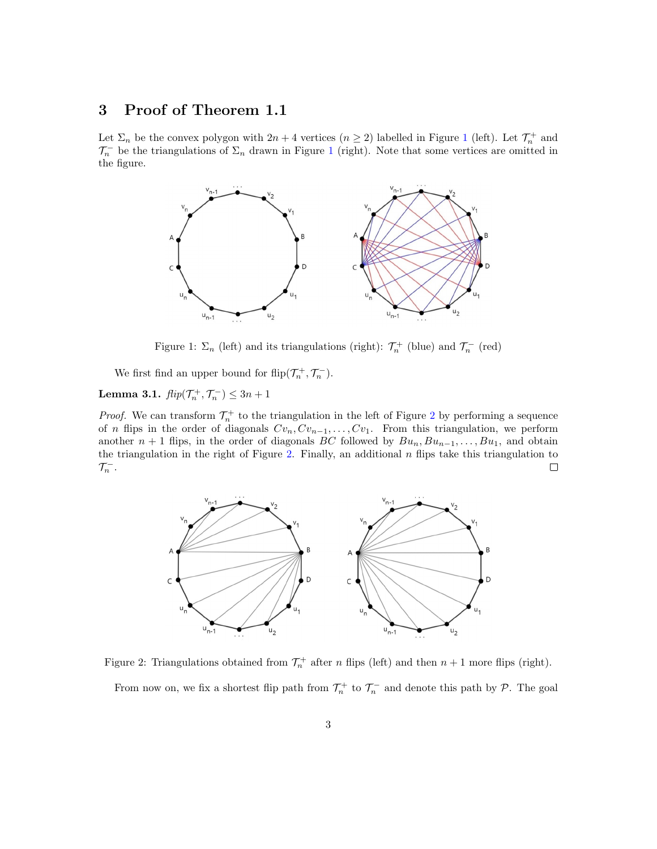## 3 Proof of Theorem 1.1

Let  $\Sigma_n$  be the convex polygon with  $2n + 4$  vertices  $(n \geq 2)$  labelled in Figure [1](#page-2-0) (left). Let  $\mathcal{T}_n^+$  and  $\mathcal{T}_n^-$  be the triangulations of  $\Sigma_n$  drawn in Figure [1](#page-2-0) (right). Note that some vertices are omitted in the figure.



<span id="page-2-0"></span>Figure 1:  $\Sigma_n$  (left) and its triangulations (right):  $\mathcal{T}_n^+$  (blue) and  $\mathcal{T}_n^-$  (red)

We first find an upper bound for  $\text{flip}(\mathcal{T}_n^+,\mathcal{T}_n^-)$ .

<span id="page-2-2"></span>Lemma 3.1.  $\text{flip}(\mathcal{T}_n^+, \mathcal{T}_n^-) \leq 3n + 1$ 

*Proof.* We can transform  $\mathcal{T}_n^+$  to the triangulation in the left of Figure [2](#page-2-1) by performing a sequence of n flips in the order of diagonals  $Cv_n, Cv_{n-1}, \ldots, Cv_1$ . From this triangulation, we perform another  $n + 1$  flips, in the order of diagonals BC followed by  $Bu_n, Bu_{n-1}, \ldots, Bu_1$ , and obtain the triangulation in the right of Figure [2.](#page-2-1) Finally, an additional  $n$  flips take this triangulation to  $\mathcal{T}_n^-$ .  $\Box$ 



<span id="page-2-1"></span>Figure 2: Triangulations obtained from  $\mathcal{T}_n^+$  after n flips (left) and then  $n+1$  more flips (right). From now on, we fix a shortest flip path from  $\mathcal{T}_n^+$  to  $\mathcal{T}_n^-$  and denote this path by  $\mathcal{P}$ . The goal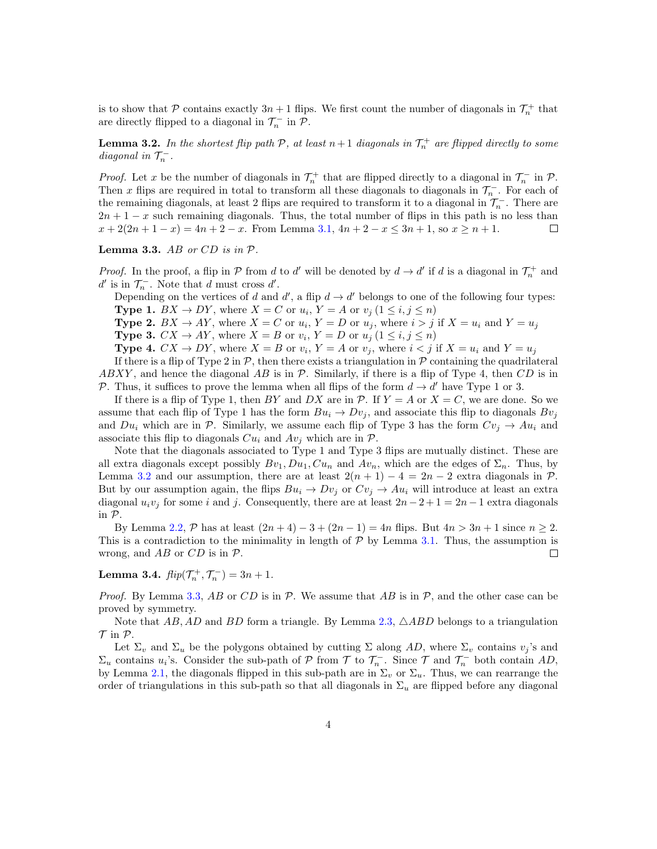is to show that P contains exactly  $3n + 1$  flips. We first count the number of diagonals in  $\mathcal{T}_n^+$  that are directly flipped to a diagonal in  $\mathcal{T}_n^-$  in  $\mathcal{P}$ .

<span id="page-3-0"></span>**Lemma 3.2.** In the shortest flip path  $P$ , at least  $n+1$  diagonals in  $\mathcal{T}_n^+$  are flipped directly to some diagonal in  $\mathcal{T}_n^-$ .

*Proof.* Let x be the number of diagonals in  $\mathcal{T}_n^+$  that are flipped directly to a diagonal in  $\mathcal{T}_n^-$  in  $\mathcal{P}$ . Then x flips are required in total to transform all these diagonals to diagonals in  $\mathcal{T}_n^-$ . For each of the remaining diagonals, at least 2 flips are required to transform it to a diagonal in  $\mathcal{T}_n^-$ . There are  $2n + 1 - x$  such remaining diagonals. Thus, the total number of flips in this path is no less than  $x + 2(2n + 1 - x) = 4n + 2 - x$ . From Lemma [3.1,](#page-2-2)  $4n + 2 - x \le 3n + 1$ , so  $x \ge n + 1$ . □

<span id="page-3-1"></span>**Lemma 3.3.** AB or  $CD$  is in  $P$ .

*Proof.* In the proof, a flip in  $P$  from d to d' will be denoted by  $d \to d'$  if d is a diagonal in  $\mathcal{T}_n^+$  and  $d'$  is in  $\mathcal{T}_n^-$ . Note that d must cross  $d'$ .

Depending on the vertices of d and d', a flip  $d \to d'$  belongs to one of the following four types: **Type 1.**  $BX \to DY$ , where  $X = C$  or  $u_i$ ,  $Y = A$  or  $v_j$   $(1 \le i, j \le n)$ 

**Type 2.**  $BX \to AY$ , where  $X = C$  or  $u_i$ ,  $Y = D$  or  $u_j$ , where  $i > j$  if  $X = u_i$  and  $Y = u_j$ 

**Type 3.**  $CX \rightarrow AY$ , where  $X = B$  or  $v_i$ ,  $Y = D$  or  $u_j$   $(1 \le i, j \le n)$ 

**Type 4.**  $CX \rightarrow DY$ , where  $X = B$  or  $v_i$ ,  $Y = A$  or  $v_j$ , where  $i < j$  if  $X = u_i$  and  $Y = u_j$ 

If there is a flip of Type 2 in  $\mathcal{P}$ , then there exists a triangulation in  $\mathcal{P}$  containing the quadrilateral ABXY, and hence the diagonal AB is in  $\mathcal P$ . Similarly, if there is a flip of Type 4, then CD is in P. Thus, it suffices to prove the lemma when all flips of the form  $d \rightarrow d'$  have Type 1 or 3.

If there is a flip of Type 1, then BY and DX are in  $P$ . If  $Y = A$  or  $X = C$ , we are done. So we assume that each flip of Type 1 has the form  $Bu_i \rightarrow Dv_j$ , and associate this flip to diagonals  $Bv_j$ and  $Du_i$  which are in P. Similarly, we assume each flip of Type 3 has the form  $Cv_i \rightarrow Au_i$  and associate this flip to diagonals  $Cu_i$  and  $Av_j$  which are in  $\mathcal{P}$ .

Note that the diagonals associated to Type 1 and Type 3 flips are mutually distinct. These are all extra diagonals except possibly  $Bv_1, Du_1, Cu_n$  and  $Av_n$ , which are the edges of  $\Sigma_n$ . Thus, by Lemma [3.2](#page-3-0) and our assumption, there are at least  $2(n + 1) - 4 = 2n - 2$  extra diagonals in P. But by our assumption again, the flips  $Bu_i \rightarrow Dv_j$  or  $Cv_j \rightarrow Au_i$  will introduce at least an extra diagonal  $u_i v_j$  for some i and j. Consequently, there are at least  $2n-2+1=2n-1$  extra diagonals in P.

By Lemma [2.2,](#page-1-1)  $P$  has at least  $(2n+4)-3+(2n-1)=4n$  flips. But  $4n>3n+1$  since  $n\geq 2$ . This is a contradiction to the minimality in length of  $P$  by Lemma [3.1.](#page-2-2) Thus, the assumption is wrong, and  $AB$  or  $CD$  is in  $P$ .  $\Box$ 

<span id="page-3-2"></span>Lemma 3.4.  $flip(\mathcal{T}_n^+, \mathcal{T}_n^-) = 3n + 1.$ 

*Proof.* By Lemma [3.3,](#page-3-1) AB or CD is in  $P$ . We assume that AB is in  $P$ , and the other case can be proved by symmetry.

Note that  $AB, AD$  and  $BD$  form a triangle. By Lemma [2.3,](#page-1-2)  $\triangle ABD$  belongs to a triangulation  $\mathcal T$  in  $\mathcal P$ .

Let  $\Sigma_v$  and  $\Sigma_u$  be the polygons obtained by cutting  $\Sigma$  along AD, where  $\Sigma_v$  contains  $v_j$ 's and  $\Sigma_u$  contains  $u_i$ 's. Consider the sub-path of  $P$  from  $T$  to  $\mathcal{T}_n^-$ . Since  $T$  and  $\mathcal{T}_n^-$  both contain AD, by Lemma [2.1,](#page-1-3) the diagonals flipped in this sub-path are in  $\Sigma_v$  or  $\Sigma_u$ . Thus, we can rearrange the order of triangulations in this sub-path so that all diagonals in  $\Sigma_u$  are flipped before any diagonal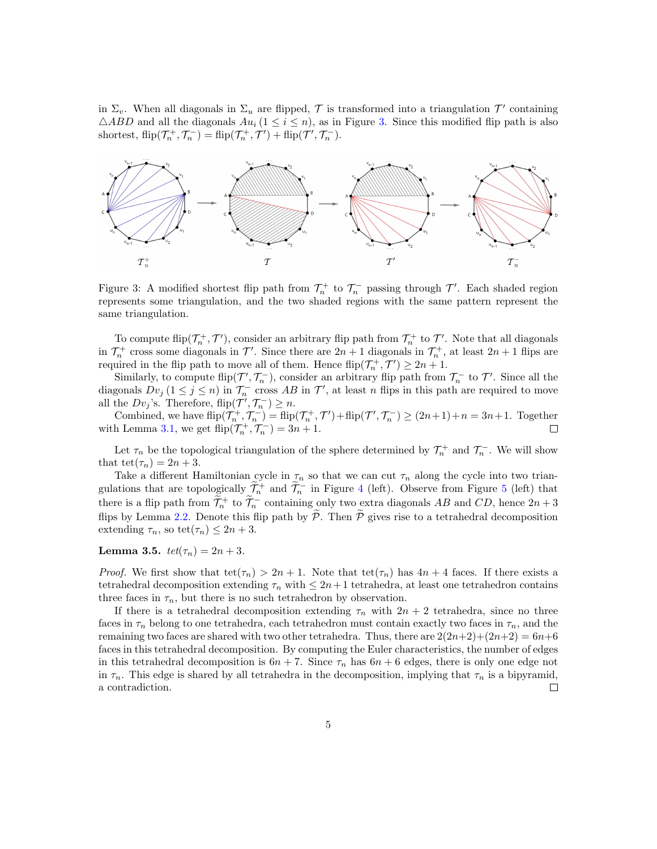in  $\Sigma_v$ . When all diagonals in  $\Sigma_u$  are flipped,  $\mathcal T$  is transformed into a triangulation  $\mathcal T'$  containing  $\triangle ABD$  and all the diagonals  $Au_i$  ( $1 \leq i \leq n$ ), as in Figure [3.](#page-4-0) Since this modified flip path is also shortest,  $\text{flip}(\mathcal{T}_n^+, \mathcal{T}_n^-) = \text{flip}(\mathcal{T}_n^+, \mathcal{T}') + \text{flip}(\mathcal{T}', \mathcal{T}_n^-).$ 



<span id="page-4-0"></span>Figure 3: A modified shortest flip path from  $\mathcal{T}_n^+$  to  $\mathcal{T}_n^-$  passing through  $\mathcal{T}'$ . Each shaded region represents some triangulation, and the two shaded regions with the same pattern represent the same triangulation.

To compute flip( $\mathcal{T}_n^+$ ,  $\mathcal{T}'$ ), consider an arbitrary flip path from  $\mathcal{T}_n^+$  to  $\mathcal{T}'$ . Note that all diagonals in  $\mathcal{T}_n^+$  cross some diagonals in  $\mathcal{T}'$ . Since there are  $2n+1$  diagonals in  $\mathcal{T}_n^+$ , at least  $2n+1$  flips are required in the flip path to move all of them. Hence  $\text{flip}(\mathcal{T}_n^+,\mathcal{T}') \ge 2n+1$ .

Similarly, to compute  $\text{flip}(\mathcal{T}', \mathcal{T}_n^-)$ , consider an arbitrary flip path from  $\mathcal{T}_n^-$  to  $\mathcal{T}'$ . Since all the diagonals  $Dv_j$  ( $1 \le j \le n$ ) in  $\mathcal{T}_n^-$  cross AB in  $\mathcal{T}'$ , at least n flips in this path are required to move all the  $Dv_j$ 's. Therefore, flip $(\mathcal{T}', \mathcal{T}_n^-) \geq n$ .

Combined, we have  $\text{flip}(\mathcal{T}_n^+, \mathcal{T}_n^-) = \text{flip}(\mathcal{T}_n^+, \mathcal{T}') + \text{flip}(\mathcal{T}', \mathcal{T}_n^-) \ge (2n+1)+n = 3n+1$ . Together with Lemma [3.1,](#page-2-2) we get  $\text{flip}(\mathcal{T}_n^+, \mathcal{T}_n^-) = 3n + 1$ .

Let  $\tau_n$  be the topological triangulation of the sphere determined by  $\mathcal{T}_n^+$  and  $\mathcal{T}_n^-$ . We will show that tet $(\tau_n) = 2n + 3$ .

Take a different Hamiltonian cycle in  $\tau_n$  so that we can cut  $\tau_n$  along the cycle into two triangulations that are topologically  $\widetilde{\mathcal{I}}_n^+$  and  $\widetilde{\mathcal{I}}_n^-$  in Figure [4](#page-5-0) (left). Observe from Figure [5](#page-5-1) (left) that there is a flip path from  $\widetilde{\mathcal{T}}_n^+$  to  $\widetilde{\mathcal{T}}_n^-$  containing only two extra diagonals AB and CD, hence  $2n+3$ flips by Lemma [2.2.](#page-1-1) Denote this flip path by  $\widetilde{\mathcal{P}}$ . Then  $\widetilde{\mathcal{P}}$  gives rise to a tetrahedral decomposition extending  $\tau_n$ , so tet $(\tau_n) \leq 2n + 3$ .

<span id="page-4-1"></span>**Lemma 3.5.**  $tet(\tau_n) = 2n + 3$ .

*Proof.* We first show that  $\text{tet}(\tau_n) > 2n + 1$ . Note that  $\text{tet}(\tau_n)$  has  $4n + 4$  faces. If there exists a tetrahedral decomposition extending  $\tau_n$  with  $\leq 2n+1$  tetrahedra, at least one tetrahedron contains three faces in  $\tau_n$ , but there is no such tetrahedron by observation.

If there is a tetrahedral decomposition extending  $\tau_n$  with  $2n + 2$  tetrahedra, since no three faces in  $\tau_n$  belong to one tetrahedra, each tetrahedron must contain exactly two faces in  $\tau_n$ , and the remaining two faces are shared with two other tetrahedra. Thus, there are  $2(2n+2)+(2n+2) = 6n+6$ faces in this tetrahedral decomposition. By computing the Euler characteristics, the number of edges in this tetrahedral decomposition is  $6n + 7$ . Since  $\tau_n$  has  $6n + 6$  edges, there is only one edge not in  $\tau_n$ . This edge is shared by all tetrahedra in the decomposition, implying that  $\tau_n$  is a bipyramid, a contradiction.  $\Box$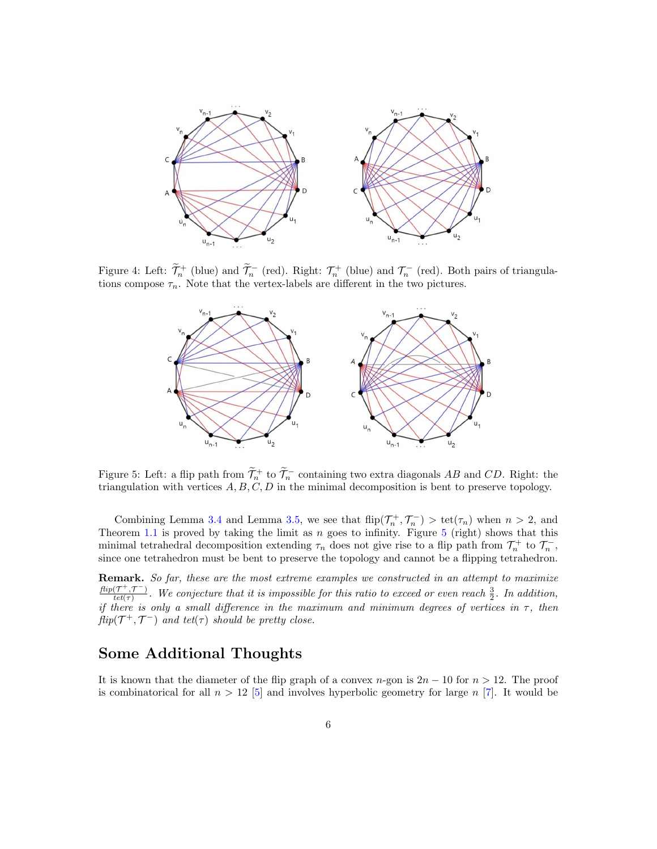

Figure 4: Left:  $\widetilde{\mathcal{T}}_n^+$  (blue) and  $\widetilde{\mathcal{T}}_n^-$  (red). Right:  $\mathcal{T}_n^+$  (blue) and  $\mathcal{T}_n^-$  (red). Both pairs of triangulations compose  $\tau_n$ . Note that the vertex-labels are different in the two pictures.

<span id="page-5-0"></span>

<span id="page-5-1"></span>Figure 5: Left: a flip path from  $\widetilde{\mathcal{T}}_n^+$  to  $\widetilde{\mathcal{T}}_n^-$  containing two extra diagonals AB and CD. Right: the triangulation with vertices  $A, B, C, D$  in the minimal decomposition is bent to preserve topology.

Combining Lemma [3.4](#page-3-2) and Lemma [3.5,](#page-4-1) we see that  $\text{flip}(\mathcal{T}_n^+,\mathcal{T}_n^-) > \text{tet}(\tau_n)$  when  $n > 2$ , and Theorem [1.1](#page-1-0) is proved by taking the limit as  $n$  goes to infinity. Figure [5](#page-5-1) (right) shows that this minimal tetrahedral decomposition extending  $\tau_n$  does not give rise to a flip path from  $\mathcal{T}_n^+$  to  $\mathcal{T}_n^-$ , since one tetrahedron must be bent to preserve the topology and cannot be a flipping tetrahedron.

Remark. So far, these are the most extreme examples we constructed in an attempt to maximize  $flip(\mathcal{T}^+, \mathcal{T}^-)$  $\frac{(T^+,T^-)}{(tet(\tau))}$ . We conjecture that it is impossible for this ratio to exceed or even reach  $\frac{3}{2}$ . In addition, if there is only a small difference in the maximum and minimum degrees of vertices in  $\tau$ , then  $flip(\mathcal{T}^+, \mathcal{T}^-)$  and tet( $\tau$ ) should be pretty close.

## Some Additional Thoughts

It is known that the diameter of the flip graph of a convex n-gon is  $2n - 10$  for  $n > 12$ . The proof is combinatorical for all  $n > 12$  [\[5\]](#page-7-6) and involves hyperbolic geometry for large n [\[7\]](#page-7-0). It would be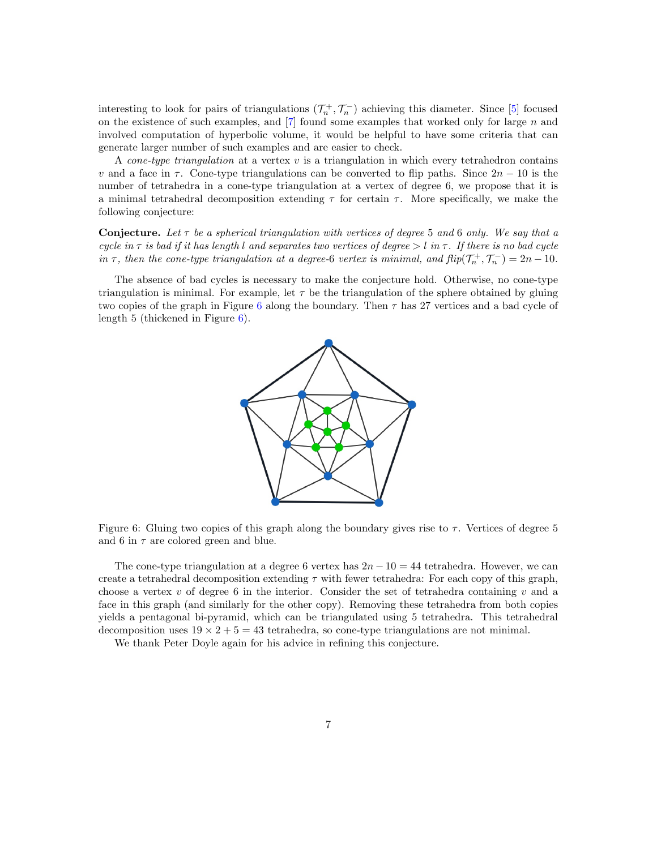interesting to look for pairs of triangulations  $(\mathcal{T}_n^+, \mathcal{T}_n^-)$  achieving this diameter. Since [\[5\]](#page-7-6) focused on the existence of such examples, and  $[7]$  found some examples that worked only for large  $n$  and involved computation of hyperbolic volume, it would be helpful to have some criteria that can generate larger number of such examples and are easier to check.

A cone-type triangulation at a vertex  $v$  is a triangulation in which every tetrahedron contains v and a face in  $\tau$ . Cone-type triangulations can be converted to flip paths. Since  $2n - 10$  is the number of tetrahedra in a cone-type triangulation at a vertex of degree 6, we propose that it is a minimal tetrahedral decomposition extending  $\tau$  for certain  $\tau$ . More specifically, we make the following conjecture:

**Conjecture.** Let  $\tau$  be a spherical triangulation with vertices of degree 5 and 6 only. We say that a cycle in  $\tau$  is bad if it has length l and separates two vertices of degree  $> l$  in  $\tau$ . If there is no bad cycle in  $\tau$ , then the cone-type triangulation at a degree-6 vertex is minimal, and  $flip(\mathcal{T}_n^+, \mathcal{T}_n^-) = 2n - 10$ .

The absence of bad cycles is necessary to make the conjecture hold. Otherwise, no cone-type triangulation is minimal. For example, let  $\tau$  be the triangulation of the sphere obtained by gluing two copies of the graph in Figure [6](#page-6-0) along the boundary. Then  $\tau$  has 27 vertices and a bad cycle of length 5 (thickened in Figure [6\)](#page-6-0).



<span id="page-6-0"></span>Figure 6: Gluing two copies of this graph along the boundary gives rise to  $\tau$ . Vertices of degree 5 and 6 in  $\tau$  are colored green and blue.

The cone-type triangulation at a degree 6 vertex has  $2n - 10 = 44$  tetrahedra. However, we can create a tetrahedral decomposition extending  $\tau$  with fewer tetrahedra: For each copy of this graph, choose a vertex  $v$  of degree 6 in the interior. Consider the set of tetrahedra containing  $v$  and a face in this graph (and similarly for the other copy). Removing these tetrahedra from both copies yields a pentagonal bi-pyramid, which can be triangulated using 5 tetrahedra. This tetrahedral decomposition uses  $19 \times 2 + 5 = 43$  tetrahedra, so cone-type triangulations are not minimal.

We thank Peter Doyle again for his advice in refining this conjecture.